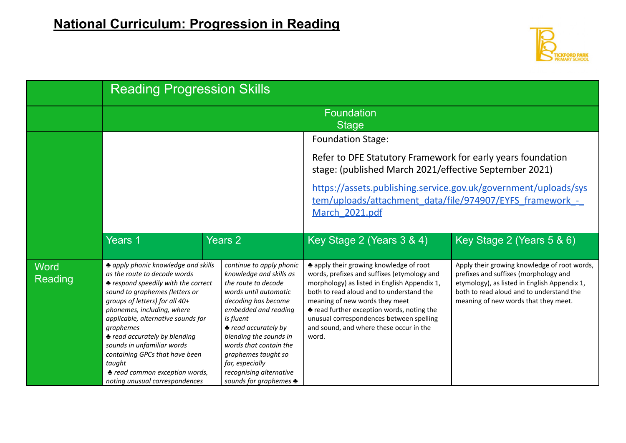

|                        | <b>Reading Progression Skills</b>                                                                                                                                                                                                                                                                                                                                                                                                                     |                                                                                                                                                                                                                                                                                                                                                             |                                                                                                                                                                                                                                                                                                                                                                      |                                                                                                                                                                                                                           |  |  |
|------------------------|-------------------------------------------------------------------------------------------------------------------------------------------------------------------------------------------------------------------------------------------------------------------------------------------------------------------------------------------------------------------------------------------------------------------------------------------------------|-------------------------------------------------------------------------------------------------------------------------------------------------------------------------------------------------------------------------------------------------------------------------------------------------------------------------------------------------------------|----------------------------------------------------------------------------------------------------------------------------------------------------------------------------------------------------------------------------------------------------------------------------------------------------------------------------------------------------------------------|---------------------------------------------------------------------------------------------------------------------------------------------------------------------------------------------------------------------------|--|--|
|                        | <b>Foundation</b><br><b>Stage</b>                                                                                                                                                                                                                                                                                                                                                                                                                     |                                                                                                                                                                                                                                                                                                                                                             |                                                                                                                                                                                                                                                                                                                                                                      |                                                                                                                                                                                                                           |  |  |
|                        |                                                                                                                                                                                                                                                                                                                                                                                                                                                       |                                                                                                                                                                                                                                                                                                                                                             | <b>Foundation Stage:</b>                                                                                                                                                                                                                                                                                                                                             |                                                                                                                                                                                                                           |  |  |
|                        |                                                                                                                                                                                                                                                                                                                                                                                                                                                       |                                                                                                                                                                                                                                                                                                                                                             | Refer to DFE Statutory Framework for early years foundation<br>stage: (published March 2021/effective September 2021)                                                                                                                                                                                                                                                |                                                                                                                                                                                                                           |  |  |
|                        |                                                                                                                                                                                                                                                                                                                                                                                                                                                       |                                                                                                                                                                                                                                                                                                                                                             | https://assets.publishing.service.gov.uk/government/uploads/sys<br>tem/uploads/attachment_data/file/974907/EYFS_framework -<br>March 2021.pdf                                                                                                                                                                                                                        |                                                                                                                                                                                                                           |  |  |
|                        | <b>Years 1</b>                                                                                                                                                                                                                                                                                                                                                                                                                                        | <b>Years 2</b>                                                                                                                                                                                                                                                                                                                                              | Key Stage 2 (Years 3 & 4)                                                                                                                                                                                                                                                                                                                                            | Key Stage 2 (Years 5 & 6)                                                                                                                                                                                                 |  |  |
| <b>Word</b><br>Reading | A apply phonic knowledge and skills<br>as the route to decode words<br>♦ respond speedily with the correct<br>sound to graphemes (letters or<br>groups of letters) for all 40+<br>phonemes, including, where<br>applicable, alternative sounds for<br>graphemes<br><b>★ read accurately by blending</b><br>sounds in unfamiliar words<br>containing GPCs that have been<br>taught<br>♦ read common exception words,<br>noting unusual correspondences | continue to apply phonic<br>knowledge and skills as<br>the route to decode<br>words until automatic<br>decoding has become<br>embedded and reading<br>is fluent<br><b>★</b> read accurately by<br>blending the sounds in<br>words that contain the<br>graphemes taught so<br>far, especially<br>recognising alternative<br>sounds for graphemes $\clubsuit$ | Let apply their growing knowledge of root<br>words, prefixes and suffixes (etymology and<br>morphology) as listed in English Appendix 1,<br>both to read aloud and to understand the<br>meaning of new words they meet<br>◆ read further exception words, noting the<br>unusual correspondences between spelling<br>and sound, and where these occur in the<br>word. | Apply their growing knowledge of root words,<br>prefixes and suffixes (morphology and<br>etymology), as listed in English Appendix 1,<br>both to read aloud and to understand the<br>meaning of new words that they meet. |  |  |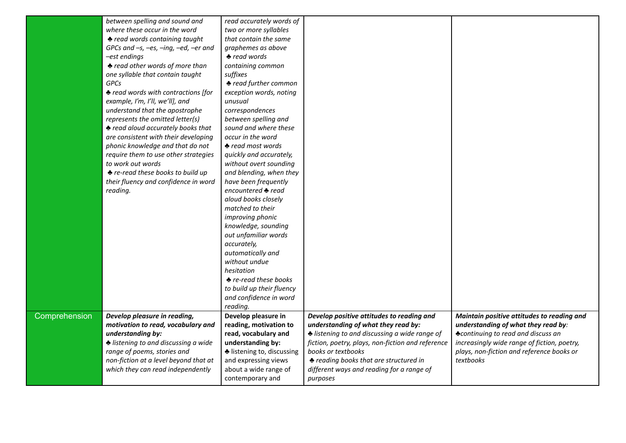|               | between spelling and sound and                     | read accurately words of     |                                                   |                                             |
|---------------|----------------------------------------------------|------------------------------|---------------------------------------------------|---------------------------------------------|
|               | where these occur in the word                      | two or more syllables        |                                                   |                                             |
|               | <b>◆ read words containing taught</b>              | that contain the same        |                                                   |                                             |
|               | GPCs and $-s$ , $-es$ , $-ing$ , $-ed$ , $-er$ and | graphemes as above           |                                                   |                                             |
|               | -est endings                                       | $\triangle$ read words       |                                                   |                                             |
|               | ◆ read other words of more than                    | containing common            |                                                   |                                             |
|               | one syllable that contain taught                   | suffixes                     |                                                   |                                             |
|               | GPCs                                               | <b>◆ read further common</b> |                                                   |                                             |
|               | ♦ read words with contractions [for                | exception words, noting      |                                                   |                                             |
|               | example, I'm, I'll, we'll], and                    | unusual                      |                                                   |                                             |
|               | understand that the apostrophe                     | correspondences              |                                                   |                                             |
|               | represents the omitted letter(s)                   | between spelling and         |                                                   |                                             |
|               | ♦ read aloud accurately books that                 | sound and where these        |                                                   |                                             |
|               | are consistent with their developing               | occur in the word            |                                                   |                                             |
|               | phonic knowledge and that do not                   | $\triangle$ read most words  |                                                   |                                             |
|               | require them to use other strategies               | quickly and accurately,      |                                                   |                                             |
|               | to work out words                                  | without overt sounding       |                                                   |                                             |
|               | ◆ re-read these books to build up                  | and blending, when they      |                                                   |                                             |
|               | their fluency and confidence in word               | have been frequently         |                                                   |                                             |
|               | reading.                                           | encountered ♣ read           |                                                   |                                             |
|               |                                                    | aloud books closely          |                                                   |                                             |
|               |                                                    | matched to their             |                                                   |                                             |
|               |                                                    | improving phonic             |                                                   |                                             |
|               |                                                    | knowledge, sounding          |                                                   |                                             |
|               |                                                    | out unfamiliar words         |                                                   |                                             |
|               |                                                    | accurately,                  |                                                   |                                             |
|               |                                                    | automatically and            |                                                   |                                             |
|               |                                                    | without undue                |                                                   |                                             |
|               |                                                    | hesitation                   |                                                   |                                             |
|               |                                                    | <b>★</b> re-read these books |                                                   |                                             |
|               |                                                    | to build up their fluency    |                                                   |                                             |
|               |                                                    | and confidence in word       |                                                   |                                             |
|               |                                                    | reading.                     |                                                   |                                             |
| Comprehension | Develop pleasure in reading,                       | Develop pleasure in          | Develop positive attitudes to reading and         | Maintain positive attitudes to reading and  |
|               | motivation to read, vocabulary and                 | reading, motivation to       | understanding of what they read by:               | understanding of what they read by:         |
|               | understanding by:                                  | read, vocabulary and         | Listening to and discussing a wide range of       | <b>*continuing to read and discuss an</b>   |
|               | listening to and discussing a wide                 | understanding by:            | fiction, poetry, plays, non-fiction and reference | increasingly wide range of fiction, poetry, |
|               | range of poems, stories and                        | listening to, discussing     | books or textbooks                                | plays, non-fiction and reference books or   |
|               | non-fiction at a level beyond that at              | and expressing views         | ♦ reading books that are structured in            | textbooks                                   |
|               | which they can read independently                  | about a wide range of        | different ways and reading for a range of         |                                             |
|               |                                                    | contemporary and             | purposes                                          |                                             |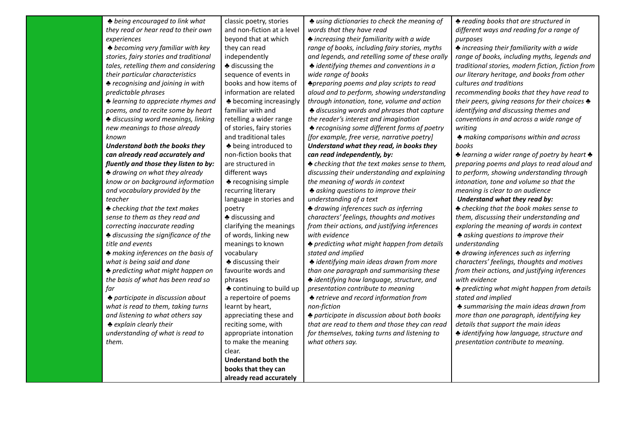*♣ being encouraged to link what they read or hear read to their own experiences*

*♣ becoming very familiar with key stories, fairy stories and traditional tales, retelling them and considering their particular characteristics*

*♣ recognising and joining in with predictable phrases*

*♣ learning to appreciate rhymes and poems, and to recite some by heart ♣ discussing word meanings, linking new meanings to those already known*

*Understand both the books they can already read accurately and fluently and those they listen to by:*

*♣ drawing on what they already know or on background information and vocabulary provided by the teacher*

*♣ checking that the text makes sense to them as they read and correcting inaccurate reading*

*♣ discussing the significance of the title and events*

*♣ making inferences on the basis of what is being said and done*

*♣ predicting what might happen on the basis of what has been read so far*

*♣ participate in discussion about what is read to them, taking turns and listening to what others say ♣ explain clearly their understanding of what is read to them.*

and non-fiction at a level beyond that at which they can read independently ♣ discussing the sequence of events in books and how items of information are related ♣ becoming increasingly familiar with and retelling a wider range of stories, fairy stories and traditional tales ♣ being introduced to non-fiction books that are structured in different ways ♣ recognising simple recurring literary language in stories and poetry ♣ discussing and clarifying the meanings of words, linking new meanings to known vocabulary ♣ discussing their favourite words and phrases ♣ continuing to build up a repertoire of poems learnt by heart, appreciating these and reciting some, with appropriate intonation

to make the meaning

**Understand both the books that they can already read accurately**

clear.

classic poetry, stories

*♣ using dictionaries to check the meaning of words that they have read*

*♣ increasing their familiarity with a wide range of books, including fairy stories, myths and legends, and retelling some of these orally ♣ identifying themes and conventions in a wide range of books*

*♣preparing poems and play scripts to read aloud and to perform, showing understanding through intonation, tone, volume and action ♣ discussing words and phrases that capture the reader's interest and imagination ♣ recognising some different forms of poetry [for example, free verse, narrative poetry] Understand what they read, in books they can read independently, by:*

*♣ checking that the text makes sense to them, discussing their understanding and explaining the meaning of words in context*

*♣ asking questions to improve their understanding of a text*

*♣ drawing inferences such as inferring characters' feelings, thoughts and motives from their actions, and justifying inferences with evidence*

*♣ predicting what might happen from details stated and implied*

*♣ identifying main ideas drawn from more than one paragraph and summarising these ♣ identifying how language, structure, and*

*presentation contribute to meaning ♣ retrieve and record information from*

*non-fiction*

*♣ participate in discussion about both books that are read to them and those they can read for themselves, taking turns and listening to what others say.*

*♣ reading books that are structured in different ways and reading for a range of purposes*

*♣ increasing their familiarity with a wide range of books, including myths, legends and traditional stories, modern fiction, fiction from our literary heritage, and books from other cultures and traditions*

*recommending books that they have read to their peers, giving reasons for their choices ♣ identifying and discussing themes and conventions in and across a wide range of writing*

*♣ making comparisons within and across books*

*♣ learning a wider range of poetry by heart ♣ preparing poems and plays to read aloud and to perform, showing understanding through intonation, tone and volume so that the meaning is clear to an audience*

*Understand what they read by:*

*♣ checking that the book makes sense to them, discussing their understanding and exploring the meaning of words in context ♣ asking questions to improve their*

*understanding*

*♣ drawing inferences such as inferring characters' feelings, thoughts and motives from their actions, and justifying inferences with evidence*

*♣ predicting what might happen from details stated and implied*

*♣ summarising the main ideas drawn from more than one paragraph, identifying key details that support the main ideas*

*♣ identifying how language, structure and presentation contribute to meaning.*